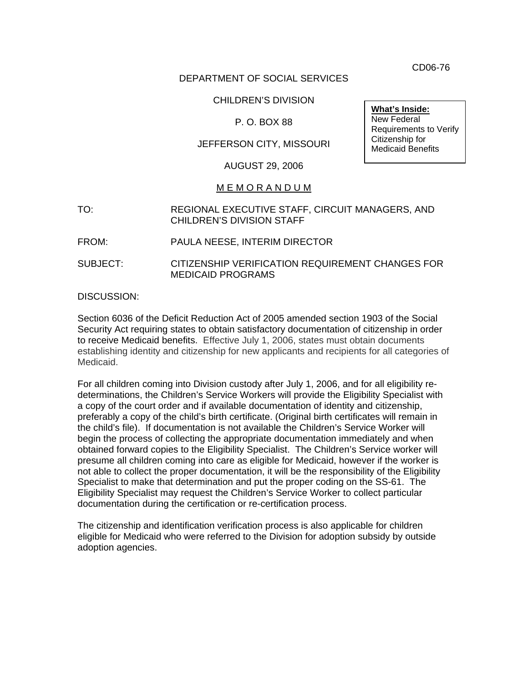CD06-76

### DEPARTMENT OF SOCIAL SERVICES

### CHILDREN'S DIVISION

### P. O. BOX 88

### JEFFERSON CITY, MISSOURI

### AUGUST 29, 2006

### M E M O R A N D U M

- TO: REGIONAL EXECUTIVE STAFF, CIRCUIT MANAGERS, AND CHILDREN'S DIVISION STAFF
- FROM: PAULA NEESE, INTERIM DIRECTOR
- SUBJECT: CITIZENSHIP VERIFICATION REQUIREMENT CHANGES FOR MEDICAID PROGRAMS

### DISCUSSION:

Section 6036 of the Deficit Reduction Act of 2005 amended section 1903 of the Social Security Act requiring states to obtain satisfactory documentation of citizenship in order to receive Medicaid benefits. Effective July 1, 2006, states must obtain documents establishing identity and citizenship for new applicants and recipients for all categories of Medicaid.

For all children coming into Division custody after July 1, 2006, and for all eligibility redeterminations, the Children's Service Workers will provide the Eligibility Specialist with a copy of the court order and if available documentation of identity and citizenship, preferably a copy of the child's birth certificate. (Original birth certificates will remain in the child's file). If documentation is not available the Children's Service Worker will begin the process of collecting the appropriate documentation immediately and when obtained forward copies to the Eligibility Specialist. The Children's Service worker will presume all children coming into care as eligible for Medicaid, however if the worker is not able to collect the proper documentation, it will be the responsibility of the Eligibility Specialist to make that determination and put the proper coding on the SS-61. The Eligibility Specialist may request the Children's Service Worker to collect particular documentation during the certification or re-certification process.

The citizenship and identification verification process is also applicable for children eligible for Medicaid who were referred to the Division for adoption subsidy by outside adoption agencies.

**What's Inside:** New Federal Requirements to Verify Citizenship for Medicaid Benefits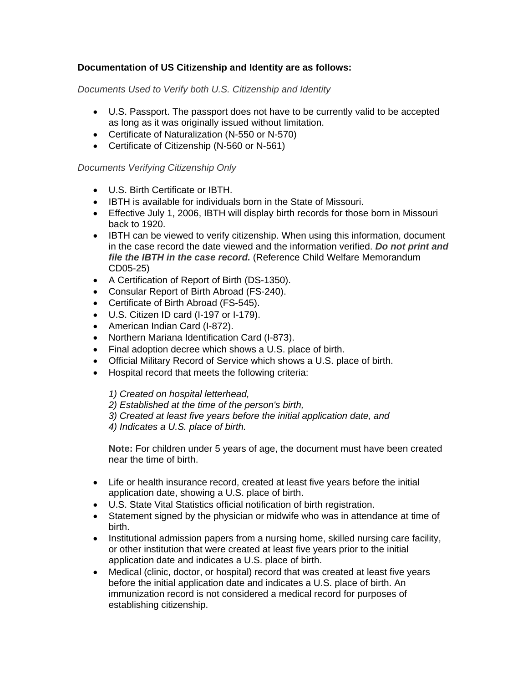# **Documentation of US Citizenship and Identity are as follows:**

*Documents Used to Verify both U.S. Citizenship and Identity* 

- U.S. Passport. The passport does not have to be currently valid to be accepted as long as it was originally issued without limitation.
- Certificate of Naturalization (N-550 or N-570)
- Certificate of Citizenship (N-560 or N-561)

### *Documents Verifying Citizenship Only*

- U.S. Birth Certificate or IBTH.
- IBTH is available for individuals born in the State of Missouri.
- Effective July 1, 2006, IBTH will display birth records for those born in Missouri back to 1920.
- IBTH can be viewed to verify citizenship. When using this information, document in the case record the date viewed and the information verified. *Do not print and file the IBTH in the case record.* (Reference Child Welfare Memorandum CD05-25)
- A Certification of Report of Birth (DS-1350).
- Consular Report of Birth Abroad (FS-240).
- Certificate of Birth Abroad (FS-545).
- U.S. Citizen ID card (I-197 or I-179).
- American Indian Card (I-872).
- Northern Mariana Identification Card (I-873).
- Final adoption decree which shows a U.S. place of birth.
- Official Military Record of Service which shows a U.S. place of birth.
- Hospital record that meets the following criteria:

*1) Created on hospital letterhead,*

*2) Established at the time of the person's birth,*

*3) Created at least five years before the initial application date, and*

*4) Indicates a U.S. place of birth.*

**Note:** For children under 5 years of age, the document must have been created near the time of birth.

- Life or health insurance record, created at least five years before the initial application date, showing a U.S. place of birth.
- U.S. State Vital Statistics official notification of birth registration.
- Statement signed by the physician or midwife who was in attendance at time of birth.
- Institutional admission papers from a nursing home, skilled nursing care facility, or other institution that were created at least five years prior to the initial application date and indicates a U.S. place of birth.
- Medical (clinic, doctor, or hospital) record that was created at least five years before the initial application date and indicates a U.S. place of birth. An immunization record is not considered a medical record for purposes of establishing citizenship.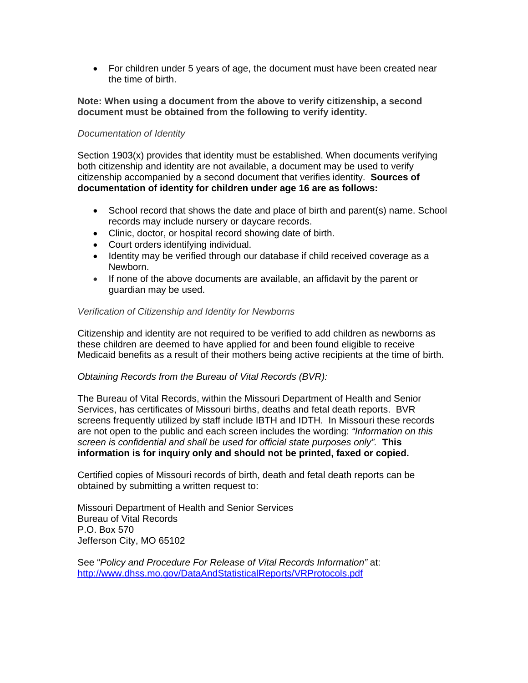• For children under 5 years of age, the document must have been created near the time of birth.

### **Note: When using a document from the above to verify citizenship, a second document must be obtained from the following to verify identity.**

### *Documentation of Identity*

Section 1903(x) provides that identity must be established. When documents verifying both citizenship and identity are not available, a document may be used to verify citizenship accompanied by a second document that verifies identity. **Sources of documentation of identity for children under age 16 are as follows:**

- School record that shows the date and place of birth and parent(s) name. School records may include nursery or daycare records.
- Clinic, doctor, or hospital record showing date of birth.
- Court orders identifying individual.
- Identity may be verified through our database if child received coverage as a Newborn.
- If none of the above documents are available, an affidavit by the parent or guardian may be used.

### *Verification of Citizenship and Identity for Newborns*

Citizenship and identity are not required to be verified to add children as newborns as these children are deemed to have applied for and been found eligible to receive Medicaid benefits as a result of their mothers being active recipients at the time of birth.

### *Obtaining Records from the Bureau of Vital Records (BVR):*

The Bureau of Vital Records, within the Missouri Department of Health and Senior Services, has certificates of Missouri births, deaths and fetal death reports. BVR screens frequently utilized by staff include IBTH and IDTH. In Missouri these records are not open to the public and each screen includes the wording: *"Information on this screen is confidential and shall be used for official state purposes only".* **This information is for inquiry only and should not be printed, faxed or copied.**

Certified copies of Missouri records of birth, death and fetal death reports can be obtained by submitting a written request to:

Missouri Department of Health and Senior Services Bureau of Vital Records P.O. Box 570 Jefferson City, MO 65102

See "*Policy and Procedure For Release of Vital Records Information"* at: <http://www.dhss.mo.gov/DataAndStatisticalReports/VRProtocols.pdf>